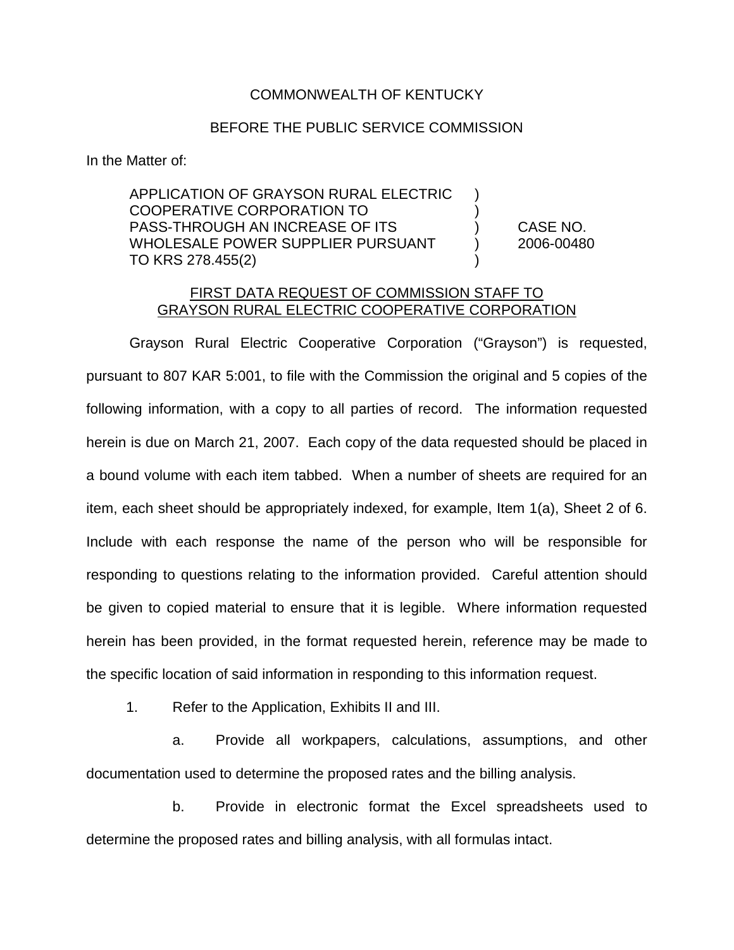## COMMONWEALTH OF KENTUCKY

## BEFORE THE PUBLIC SERVICE COMMISSION

In the Matter of:

APPLICATION OF GRAYSON RURAL ELECTRIC ) COOPERATIVE CORPORATION TO ) PASS-THROUGH AN INCREASE OF ITS ) CASE NO. WHOLESALE POWER SUPPLIER PURSUANT (2006-00480) TO KRS 278.455(2)

## FIRST DATA REQUEST OF COMMISSION STAFF TO GRAYSON RURAL ELECTRIC COOPERATIVE CORPORATION

Grayson Rural Electric Cooperative Corporation ("Grayson") is requested, pursuant to 807 KAR 5:001, to file with the Commission the original and 5 copies of the following information, with a copy to all parties of record. The information requested herein is due on March 21, 2007. Each copy of the data requested should be placed in a bound volume with each item tabbed. When a number of sheets are required for an item, each sheet should be appropriately indexed, for example, Item 1(a), Sheet 2 of 6. Include with each response the name of the person who will be responsible for responding to questions relating to the information provided. Careful attention should be given to copied material to ensure that it is legible. Where information requested herein has been provided, in the format requested herein, reference may be made to the specific location of said information in responding to this information request.

1. Refer to the Application, Exhibits II and III.

a. Provide all workpapers, calculations, assumptions, and other documentation used to determine the proposed rates and the billing analysis.

b. Provide in electronic format the Excel spreadsheets used to determine the proposed rates and billing analysis, with all formulas intact.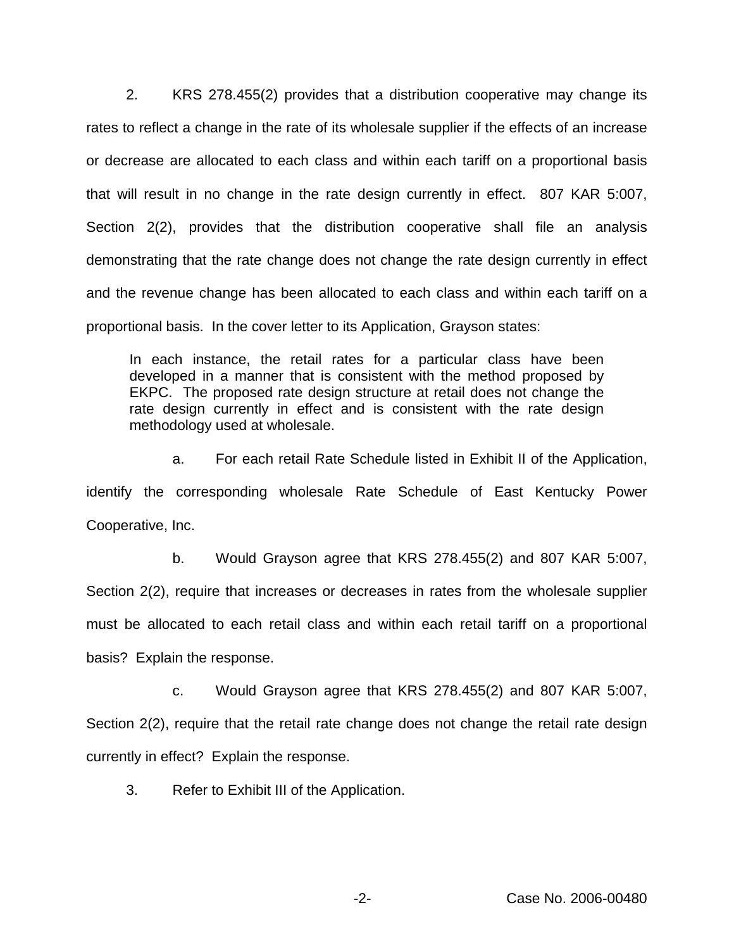2. KRS 278.455(2) provides that a distribution cooperative may change its rates to reflect a change in the rate of its wholesale supplier if the effects of an increase or decrease are allocated to each class and within each tariff on a proportional basis that will result in no change in the rate design currently in effect. 807 KAR 5:007, Section 2(2), provides that the distribution cooperative shall file an analysis demonstrating that the rate change does not change the rate design currently in effect and the revenue change has been allocated to each class and within each tariff on a proportional basis. In the cover letter to its Application, Grayson states:

In each instance, the retail rates for a particular class have been developed in a manner that is consistent with the method proposed by EKPC. The proposed rate design structure at retail does not change the rate design currently in effect and is consistent with the rate design methodology used at wholesale.

a. For each retail Rate Schedule listed in Exhibit II of the Application, identify the corresponding wholesale Rate Schedule of East Kentucky Power Cooperative, Inc.

b. Would Grayson agree that KRS 278.455(2) and 807 KAR 5:007, Section 2(2), require that increases or decreases in rates from the wholesale supplier must be allocated to each retail class and within each retail tariff on a proportional basis? Explain the response.

c. Would Grayson agree that KRS 278.455(2) and 807 KAR 5:007, Section 2(2), require that the retail rate change does not change the retail rate design currently in effect? Explain the response.

3. Refer to Exhibit III of the Application.